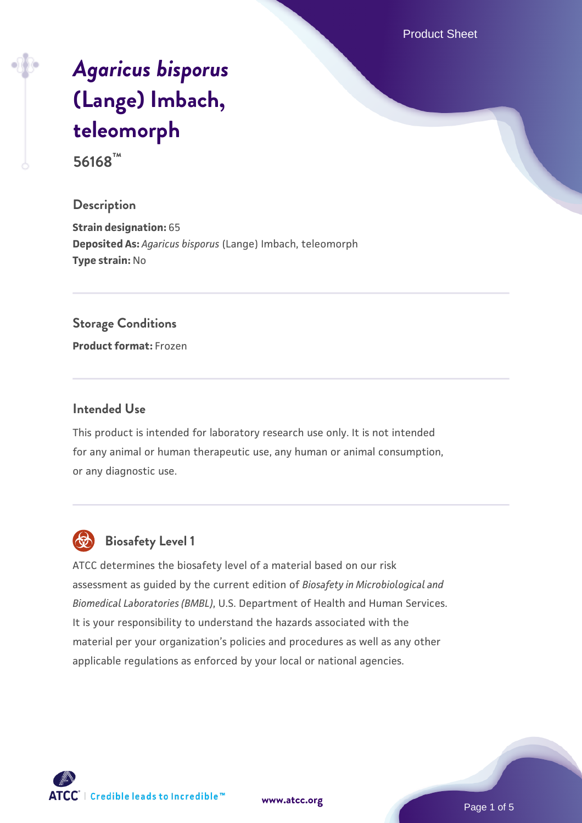Product Sheet

# *[Agaricus bisporus](https://www.atcc.org/products/56168)* **[\(Lange\) Imbach,](https://www.atcc.org/products/56168) [teleomorph](https://www.atcc.org/products/56168)**

**56168™**

## **Description**

**Strain designation:** 65 **Deposited As:** *Agaricus bisporus* (Lange) Imbach, teleomorph **Type strain:** No

#### **Storage Conditions**

**Product format:** Frozen

## **Intended Use**

This product is intended for laboratory research use only. It is not intended for any animal or human therapeutic use, any human or animal consumption, or any diagnostic use.



# **Biosafety Level 1**

ATCC determines the biosafety level of a material based on our risk assessment as guided by the current edition of *Biosafety in Microbiological and Biomedical Laboratories (BMBL)*, U.S. Department of Health and Human Services. It is your responsibility to understand the hazards associated with the material per your organization's policies and procedures as well as any other applicable regulations as enforced by your local or national agencies.

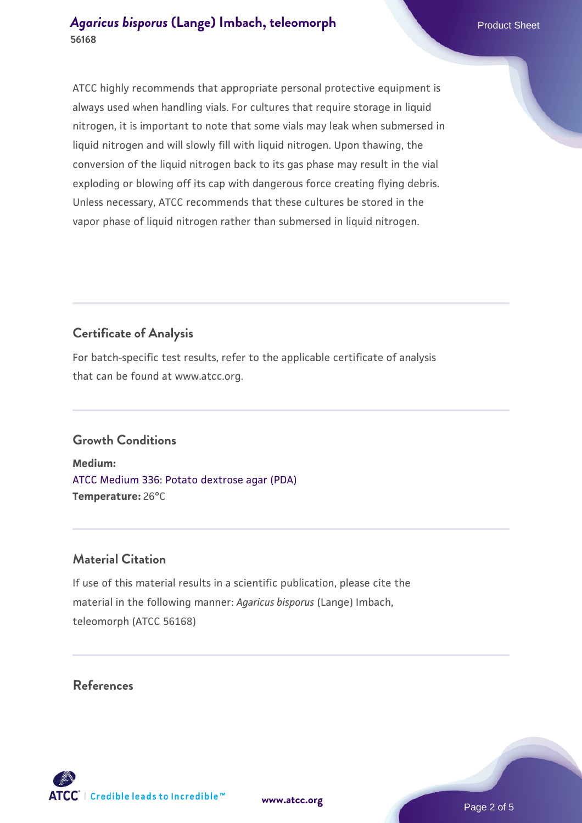ATCC highly recommends that appropriate personal protective equipment is always used when handling vials. For cultures that require storage in liquid nitrogen, it is important to note that some vials may leak when submersed in liquid nitrogen and will slowly fill with liquid nitrogen. Upon thawing, the conversion of the liquid nitrogen back to its gas phase may result in the vial exploding or blowing off its cap with dangerous force creating flying debris. Unless necessary, ATCC recommends that these cultures be stored in the vapor phase of liquid nitrogen rather than submersed in liquid nitrogen.

# **Certificate of Analysis**

For batch-specific test results, refer to the applicable certificate of analysis that can be found at www.atcc.org.

## **Growth Conditions**

**Medium:**  [ATCC Medium 336: Potato dextrose agar \(PDA\)](https://www.atcc.org/-/media/product-assets/documents/microbial-media-formulations/3/3/6/atcc-medium-336.pdf?rev=d9160ad44d934cd8b65175461abbf3b9) **Temperature:** 26°C

## **Material Citation**

If use of this material results in a scientific publication, please cite the material in the following manner: *Agaricus bisporus* (Lange) Imbach, teleomorph (ATCC 56168)

## **References**





**[www.atcc.org](http://www.atcc.org)**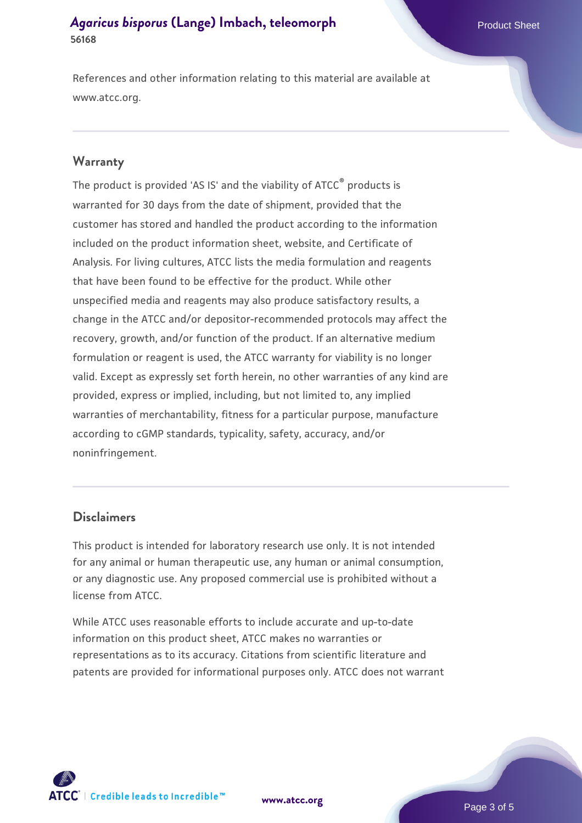References and other information relating to this material are available at www.atcc.org.

#### **Warranty**

The product is provided 'AS IS' and the viability of ATCC® products is warranted for 30 days from the date of shipment, provided that the customer has stored and handled the product according to the information included on the product information sheet, website, and Certificate of Analysis. For living cultures, ATCC lists the media formulation and reagents that have been found to be effective for the product. While other unspecified media and reagents may also produce satisfactory results, a change in the ATCC and/or depositor-recommended protocols may affect the recovery, growth, and/or function of the product. If an alternative medium formulation or reagent is used, the ATCC warranty for viability is no longer valid. Except as expressly set forth herein, no other warranties of any kind are provided, express or implied, including, but not limited to, any implied warranties of merchantability, fitness for a particular purpose, manufacture according to cGMP standards, typicality, safety, accuracy, and/or noninfringement.

#### **Disclaimers**

This product is intended for laboratory research use only. It is not intended for any animal or human therapeutic use, any human or animal consumption, or any diagnostic use. Any proposed commercial use is prohibited without a license from ATCC.

While ATCC uses reasonable efforts to include accurate and up-to-date information on this product sheet, ATCC makes no warranties or representations as to its accuracy. Citations from scientific literature and patents are provided for informational purposes only. ATCC does not warrant



**[www.atcc.org](http://www.atcc.org)**

Page 3 of 5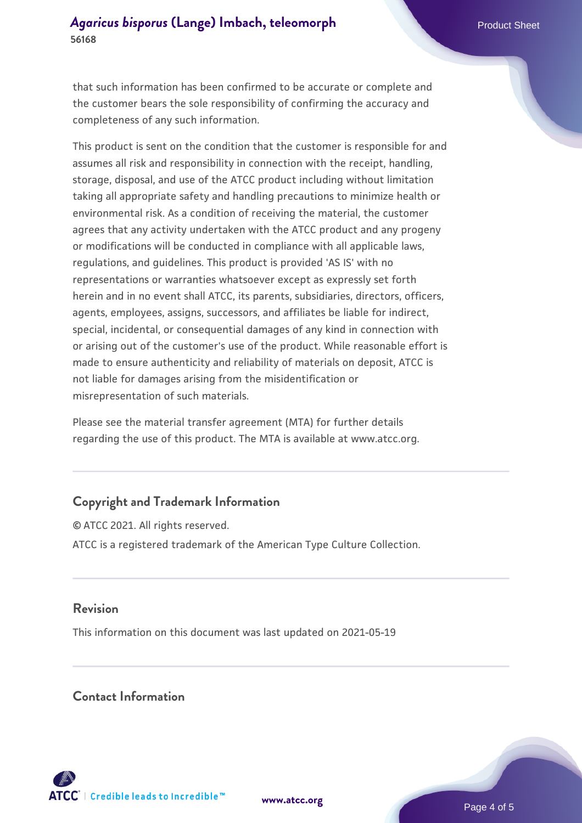that such information has been confirmed to be accurate or complete and the customer bears the sole responsibility of confirming the accuracy and completeness of any such information.

This product is sent on the condition that the customer is responsible for and assumes all risk and responsibility in connection with the receipt, handling, storage, disposal, and use of the ATCC product including without limitation taking all appropriate safety and handling precautions to minimize health or environmental risk. As a condition of receiving the material, the customer agrees that any activity undertaken with the ATCC product and any progeny or modifications will be conducted in compliance with all applicable laws, regulations, and guidelines. This product is provided 'AS IS' with no representations or warranties whatsoever except as expressly set forth herein and in no event shall ATCC, its parents, subsidiaries, directors, officers, agents, employees, assigns, successors, and affiliates be liable for indirect, special, incidental, or consequential damages of any kind in connection with or arising out of the customer's use of the product. While reasonable effort is made to ensure authenticity and reliability of materials on deposit, ATCC is not liable for damages arising from the misidentification or misrepresentation of such materials.

Please see the material transfer agreement (MTA) for further details regarding the use of this product. The MTA is available at www.atcc.org.

## **Copyright and Trademark Information**

© ATCC 2021. All rights reserved. ATCC is a registered trademark of the American Type Culture Collection.

## **Revision**

This information on this document was last updated on 2021-05-19

## **Contact Information**



**[www.atcc.org](http://www.atcc.org)**

Page 4 of 5